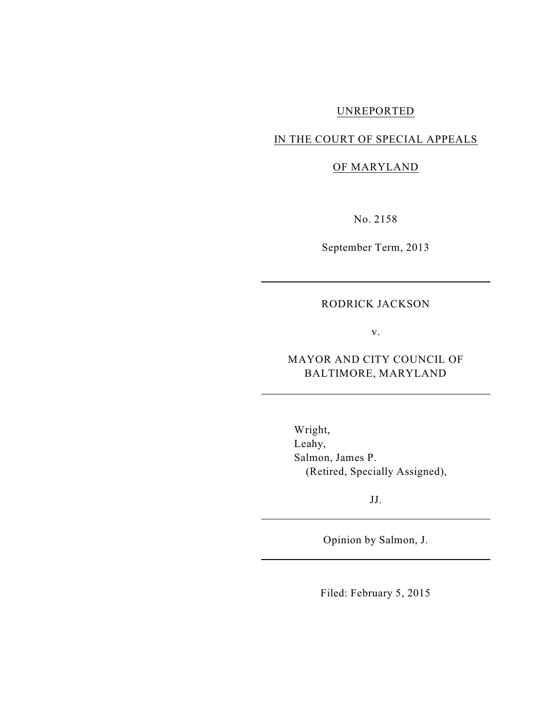# UNREPORTED

## IN THE COURT OF SPECIAL APPEALS

## OF MARYLAND

No. 2158

September Term, 2013

## RODRICK JACKSON

v.

MAYOR AND CITY COUNCIL OF BALTIMORE, MARYLAND

Wright, Leahy, Salmon, James P. (Retired, Specially Assigned),

JJ.

Opinion by Salmon, J.

Filed: February 5, 2015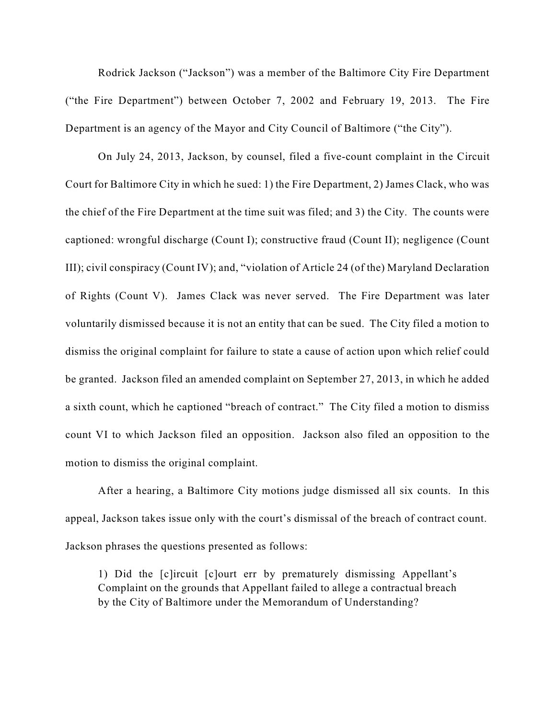Rodrick Jackson ("Jackson") was a member of the Baltimore City Fire Department ("the Fire Department") between October 7, 2002 and February 19, 2013. The Fire Department is an agency of the Mayor and City Council of Baltimore ("the City").

On July 24, 2013, Jackson, by counsel, filed a five-count complaint in the Circuit Court for Baltimore City in which he sued: 1) the Fire Department, 2) James Clack, who was the chief of the Fire Department at the time suit was filed; and 3) the City. The counts were captioned: wrongful discharge (Count I); constructive fraud (Count II); negligence (Count III); civil conspiracy (Count IV); and, "violation of Article 24 (of the) Maryland Declaration of Rights (Count V). James Clack was never served. The Fire Department was later voluntarily dismissed because it is not an entity that can be sued. The City filed a motion to dismiss the original complaint for failure to state a cause of action upon which relief could be granted. Jackson filed an amended complaint on September 27, 2013, in which he added a sixth count, which he captioned "breach of contract." The City filed a motion to dismiss count VI to which Jackson filed an opposition. Jackson also filed an opposition to the motion to dismiss the original complaint.

After a hearing, a Baltimore City motions judge dismissed all six counts. In this appeal, Jackson takes issue only with the court's dismissal of the breach of contract count. Jackson phrases the questions presented as follows:

1) Did the [c]ircuit [c]ourt err by prematurely dismissing Appellant's Complaint on the grounds that Appellant failed to allege a contractual breach by the City of Baltimore under the Memorandum of Understanding?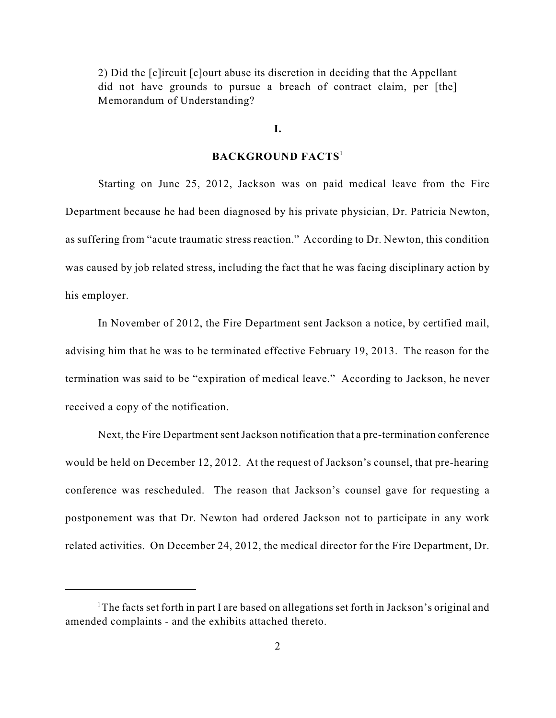2) Did the [c]ircuit [c]ourt abuse its discretion in deciding that the Appellant did not have grounds to pursue a breach of contract claim, per [the] Memorandum of Understanding?

#### **I.**

## **BACKGROUND FACTS** 1

Starting on June 25, 2012, Jackson was on paid medical leave from the Fire Department because he had been diagnosed by his private physician, Dr. Patricia Newton, as suffering from "acute traumatic stress reaction." According to Dr. Newton, this condition was caused by job related stress, including the fact that he was facing disciplinary action by his employer.

In November of 2012, the Fire Department sent Jackson a notice, by certified mail, advising him that he was to be terminated effective February 19, 2013. The reason for the termination was said to be "expiration of medical leave." According to Jackson, he never received a copy of the notification.

Next, the Fire Department sent Jackson notification that a pre-termination conference would be held on December 12, 2012. At the request of Jackson's counsel, that pre-hearing conference was rescheduled. The reason that Jackson's counsel gave for requesting a postponement was that Dr. Newton had ordered Jackson not to participate in any work related activities. On December 24, 2012, the medical director for the Fire Department, Dr.

<sup>&</sup>lt;sup>1</sup>The facts set forth in part I are based on allegations set forth in Jackson's original and amended complaints - and the exhibits attached thereto.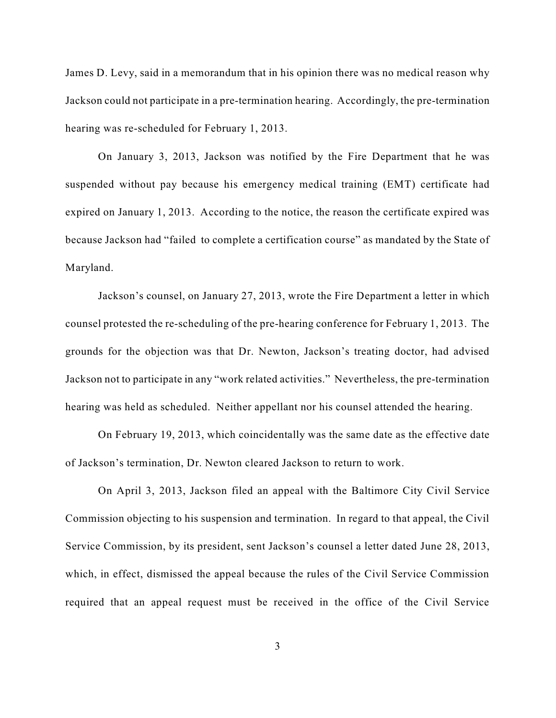James D. Levy, said in a memorandum that in his opinion there was no medical reason why Jackson could not participate in a pre-termination hearing. Accordingly, the pre-termination hearing was re-scheduled for February 1, 2013.

On January 3, 2013, Jackson was notified by the Fire Department that he was suspended without pay because his emergency medical training (EMT) certificate had expired on January 1, 2013. According to the notice, the reason the certificate expired was because Jackson had "failed to complete a certification course" as mandated by the State of Maryland.

Jackson's counsel, on January 27, 2013, wrote the Fire Department a letter in which counsel protested the re-scheduling of the pre-hearing conference for February 1, 2013. The grounds for the objection was that Dr. Newton, Jackson's treating doctor, had advised Jackson not to participate in any "work related activities." Nevertheless, the pre-termination hearing was held as scheduled. Neither appellant nor his counsel attended the hearing.

On February 19, 2013, which coincidentally was the same date as the effective date of Jackson's termination, Dr. Newton cleared Jackson to return to work.

On April 3, 2013, Jackson filed an appeal with the Baltimore City Civil Service Commission objecting to his suspension and termination. In regard to that appeal, the Civil Service Commission, by its president, sent Jackson's counsel a letter dated June 28, 2013, which, in effect, dismissed the appeal because the rules of the Civil Service Commission required that an appeal request must be received in the office of the Civil Service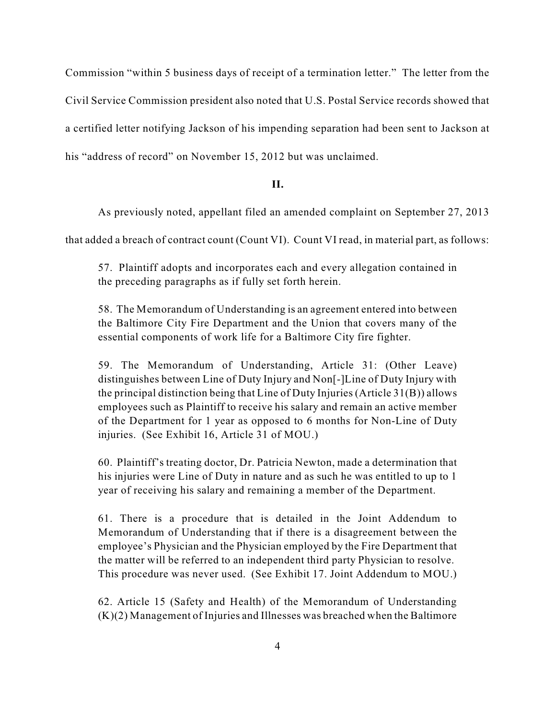Commission "within 5 business days of receipt of a termination letter." The letter from the Civil Service Commission president also noted that U.S. Postal Service records showed that a certified letter notifying Jackson of his impending separation had been sent to Jackson at his "address of record" on November 15, 2012 but was unclaimed.

#### **II.**

As previously noted, appellant filed an amended complaint on September 27, 2013

that added a breach of contract count (Count VI). Count VI read, in material part, as follows:

57. Plaintiff adopts and incorporates each and every allegation contained in the preceding paragraphs as if fully set forth herein.

58. The Memorandum of Understanding is an agreement entered into between the Baltimore City Fire Department and the Union that covers many of the essential components of work life for a Baltimore City fire fighter.

59. The Memorandum of Understanding, Article 31: (Other Leave) distinguishes between Line of Duty Injury and Non[-]Line of Duty Injury with the principal distinction being that Line of Duty Injuries (Article 31(B)) allows employees such as Plaintiff to receive his salary and remain an active member of the Department for 1 year as opposed to 6 months for Non-Line of Duty injuries. (See Exhibit 16, Article 31 of MOU.)

60. Plaintiff's treating doctor, Dr. Patricia Newton, made a determination that his injuries were Line of Duty in nature and as such he was entitled to up to 1 year of receiving his salary and remaining a member of the Department.

61. There is a procedure that is detailed in the Joint Addendum to Memorandum of Understanding that if there is a disagreement between the employee's Physician and the Physician employed by the Fire Department that the matter will be referred to an independent third party Physician to resolve. This procedure was never used. (See Exhibit 17. Joint Addendum to MOU.)

62. Article 15 (Safety and Health) of the Memorandum of Understanding (K)(2) Management of Injuries and Illnesses was breached when the Baltimore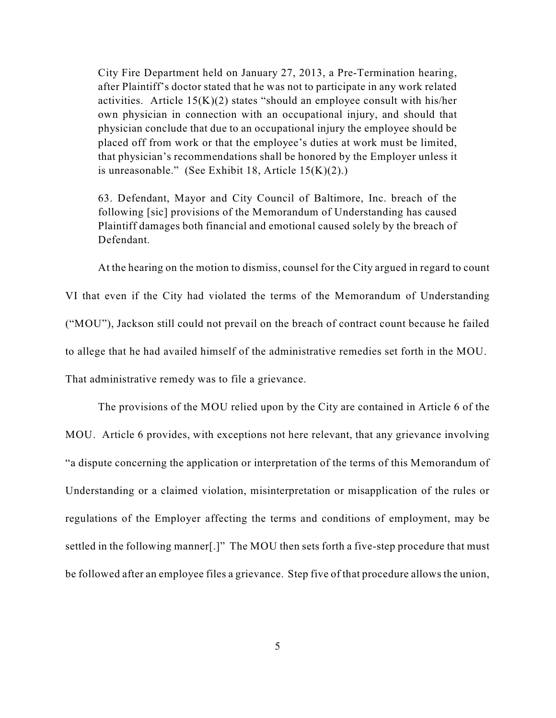City Fire Department held on January 27, 2013, a Pre-Termination hearing, after Plaintiff's doctor stated that he was not to participate in any work related activities. Article  $15(K)(2)$  states "should an employee consult with his/her own physician in connection with an occupational injury, and should that physician conclude that due to an occupational injury the employee should be placed off from work or that the employee's duties at work must be limited, that physician's recommendations shall be honored by the Employer unless it is unreasonable." (See Exhibit 18, Article 15(K)(2).)

63. Defendant, Mayor and City Council of Baltimore, Inc. breach of the following [sic] provisions of the Memorandum of Understanding has caused Plaintiff damages both financial and emotional caused solely by the breach of Defendant.

At the hearing on the motion to dismiss, counsel for the City argued in regard to count

VI that even if the City had violated the terms of the Memorandum of Understanding ("MOU"), Jackson still could not prevail on the breach of contract count because he failed to allege that he had availed himself of the administrative remedies set forth in the MOU. That administrative remedy was to file a grievance.

The provisions of the MOU relied upon by the City are contained in Article 6 of the MOU. Article 6 provides, with exceptions not here relevant, that any grievance involving "a dispute concerning the application or interpretation of the terms of this Memorandum of Understanding or a claimed violation, misinterpretation or misapplication of the rules or regulations of the Employer affecting the terms and conditions of employment, may be settled in the following manner[.]" The MOU then sets forth a five-step procedure that must be followed after an employee files a grievance. Step five of that procedure allows the union,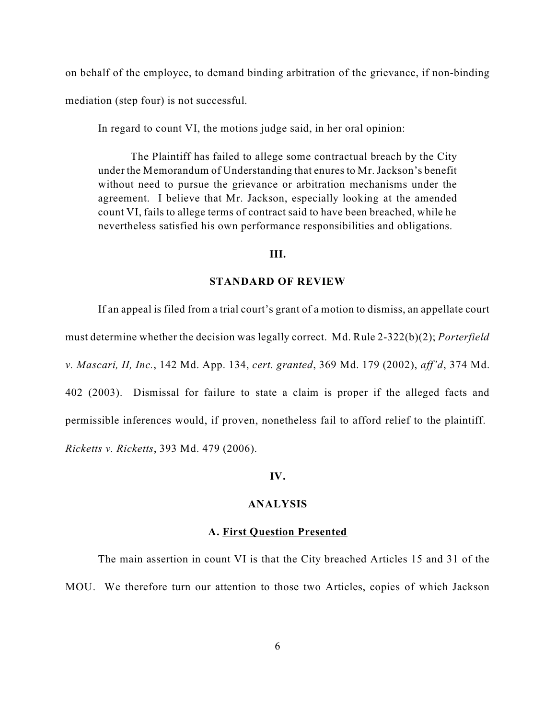on behalf of the employee, to demand binding arbitration of the grievance, if non-binding mediation (step four) is not successful.

In regard to count VI, the motions judge said, in her oral opinion:

The Plaintiff has failed to allege some contractual breach by the City under the Memorandum of Understanding that enures to Mr.Jackson's benefit without need to pursue the grievance or arbitration mechanisms under the agreement. I believe that Mr. Jackson, especially looking at the amended count VI, fails to allege terms of contract said to have been breached, while he nevertheless satisfied his own performance responsibilities and obligations.

## **III.**

#### **STANDARD OF REVIEW**

If an appeal is filed from a trial court's grant of a motion to dismiss, an appellate court must determine whether the decision was legally correct. Md. Rule 2-322(b)(2); *Porterfield v. Mascari, II, Inc.*, 142 Md. App. 134, *cert. granted*, 369 Md. 179 (2002), *aff'd*, 374 Md. 402 (2003). Dismissal for failure to state a claim is proper if the alleged facts and permissible inferences would, if proven, nonetheless fail to afford relief to the plaintiff. *Ricketts v. Ricketts*, 393 Md. 479 (2006).

#### **IV.**

#### **ANALYSIS**

#### **A. First Question Presented**

The main assertion in count VI is that the City breached Articles 15 and 31 of the MOU. We therefore turn our attention to those two Articles, copies of which Jackson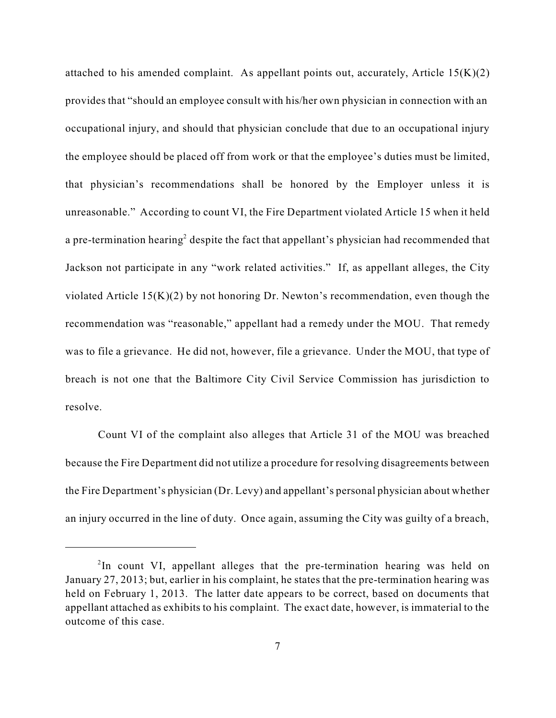attached to his amended complaint. As appellant points out, accurately, Article  $15(K)(2)$ provides that "should an employee consult with his/her own physician in connection with an occupational injury, and should that physician conclude that due to an occupational injury the employee should be placed off from work or that the employee's duties must be limited, that physician's recommendations shall be honored by the Employer unless it is unreasonable." According to count VI, the Fire Department violated Article 15 when it held a pre-termination hearing<sup>2</sup> despite the fact that appellant's physician had recommended that Jackson not participate in any "work related activities." If, as appellant alleges, the City violated Article  $15(K)(2)$  by not honoring Dr. Newton's recommendation, even though the recommendation was "reasonable," appellant had a remedy under the MOU. That remedy was to file a grievance. He did not, however, file a grievance. Under the MOU, that type of breach is not one that the Baltimore City Civil Service Commission has jurisdiction to resolve.

Count VI of the complaint also alleges that Article 31 of the MOU was breached because the Fire Department did not utilize a procedure for resolving disagreements between the Fire Department's physician (Dr. Levy) and appellant's personal physician about whether an injury occurred in the line of duty. Once again, assuming the City was guilty of a breach,

 $2$ In count VI, appellant alleges that the pre-termination hearing was held on January 27, 2013; but, earlier in his complaint, he states that the pre-termination hearing was held on February 1, 2013. The latter date appears to be correct, based on documents that appellant attached as exhibits to his complaint. The exact date, however, is immaterial to the outcome of this case.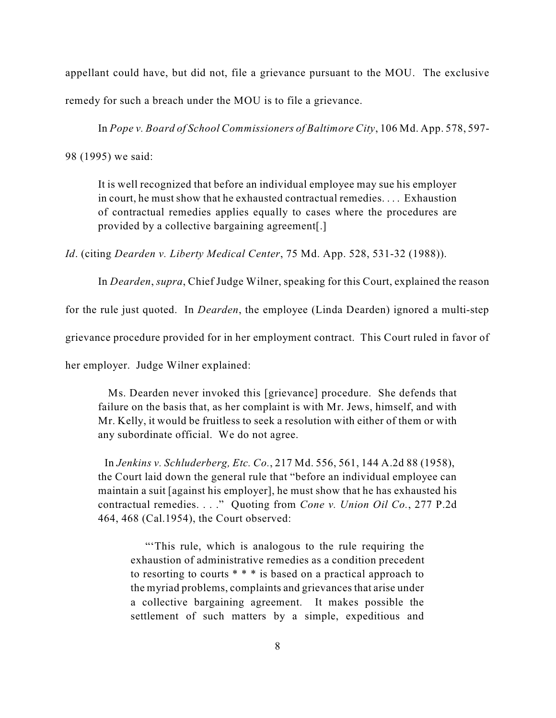appellant could have, but did not, file a grievance pursuant to the MOU. The exclusive remedy for such a breach under the MOU is to file a grievance.

In *Pope v. Board of School Commissioners of Baltimore City*, 106 Md. App. 578, 597-

98 (1995) we said:

It is well recognized that before an individual employee may sue his employer in court, he must show that he exhausted contractual remedies. . . . Exhaustion of contractual remedies applies equally to cases where the procedures are provided by a collective bargaining agreement[.]

*Id*. (citing *Dearden v. Liberty Medical Center*, 75 Md. App. 528, 531-32 (1988)).

In *Dearden*, *supra*, Chief Judge Wilner, speaking for this Court, explained the reason

for the rule just quoted. In *Dearden*, the employee (Linda Dearden) ignored a multi-step

grievance procedure provided for in her employment contract. This Court ruled in favor of

her employer. Judge Wilner explained:

Ms. Dearden never invoked this [grievance] procedure. She defends that failure on the basis that, as her complaint is with Mr. Jews, himself, and with Mr. Kelly, it would be fruitless to seek a resolution with either of them or with any subordinate official. We do not agree.

In *Jenkins v. Schluderberg, Etc. Co.*, 217 Md. 556, 561, 144 A.2d 88 (1958), the Court laid down the general rule that "before an individual employee can maintain a suit [against his employer], he must show that he has exhausted his contractual remedies. . . ." Quoting from *Cone v. Union Oil Co.*, 277 P.2d 464, 468 (Cal.1954), the Court observed:

"'This rule, which is analogous to the rule requiring the exhaustion of administrative remedies as a condition precedent to resorting to courts \* \* \* is based on a practical approach to the myriad problems, complaints and grievances that arise under a collective bargaining agreement. It makes possible the settlement of such matters by a simple, expeditious and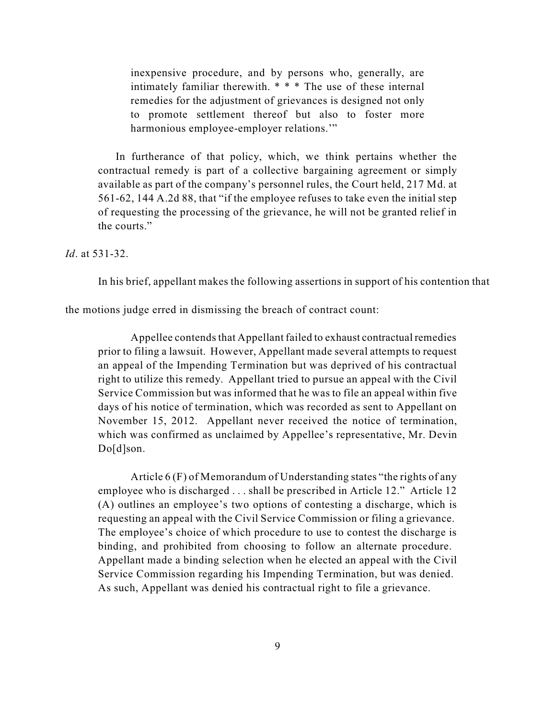inexpensive procedure, and by persons who, generally, are intimately familiar therewith. \* \* \* The use of these internal remedies for the adjustment of grievances is designed not only to promote settlement thereof but also to foster more harmonious employee-employer relations."

In furtherance of that policy, which, we think pertains whether the contractual remedy is part of a collective bargaining agreement or simply available as part of the company's personnel rules, the Court held, 217 Md. at 561-62, 144 A.2d 88, that "if the employee refuses to take even the initial step of requesting the processing of the grievance, he will not be granted relief in the courts."

*Id*. at 531-32.

In his brief, appellant makes the following assertions in support of his contention that

the motions judge erred in dismissing the breach of contract count:

Appellee contends that Appellant failed to exhaust contractual remedies prior to filing a lawsuit. However, Appellant made several attempts to request an appeal of the Impending Termination but was deprived of his contractual right to utilize this remedy. Appellant tried to pursue an appeal with the Civil Service Commission but was informed that he was to file an appeal within five days of his notice of termination, which was recorded as sent to Appellant on November 15, 2012. Appellant never received the notice of termination, which was confirmed as unclaimed by Appellee's representative, Mr. Devin Do[d]son.

Article 6 (F) of Memorandum of Understanding states "the rights of any employee who is discharged . . . shall be prescribed in Article 12." Article 12 (A) outlines an employee's two options of contesting a discharge, which is requesting an appeal with the Civil Service Commission or filing a grievance. The employee's choice of which procedure to use to contest the discharge is binding, and prohibited from choosing to follow an alternate procedure. Appellant made a binding selection when he elected an appeal with the Civil Service Commission regarding his Impending Termination, but was denied. As such, Appellant was denied his contractual right to file a grievance.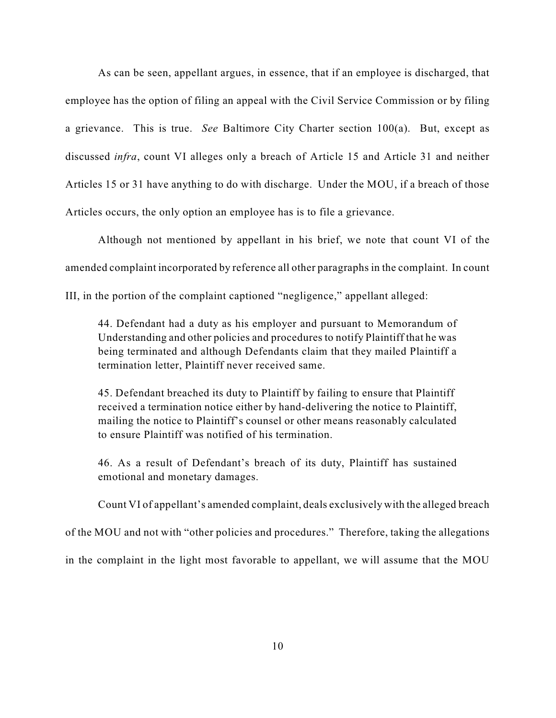As can be seen, appellant argues, in essence, that if an employee is discharged, that employee has the option of filing an appeal with the Civil Service Commission or by filing a grievance. This is true. *See* Baltimore City Charter section 100(a). But, except as discussed *infra*, count VI alleges only a breach of Article 15 and Article 31 and neither Articles 15 or 31 have anything to do with discharge. Under the MOU, if a breach of those Articles occurs, the only option an employee has is to file a grievance.

Although not mentioned by appellant in his brief, we note that count VI of the amended complaint incorporated by reference all other paragraphs in the complaint. In count III, in the portion of the complaint captioned "negligence," appellant alleged:

44. Defendant had a duty as his employer and pursuant to Memorandum of Understanding and other policies and procedures to notify Plaintiff that he was being terminated and although Defendants claim that they mailed Plaintiff a termination letter, Plaintiff never received same.

45. Defendant breached its duty to Plaintiff by failing to ensure that Plaintiff received a termination notice either by hand-delivering the notice to Plaintiff, mailing the notice to Plaintiff's counsel or other means reasonably calculated to ensure Plaintiff was notified of his termination.

46. As a result of Defendant's breach of its duty, Plaintiff has sustained emotional and monetary damages.

Count VI of appellant's amended complaint, deals exclusively with the alleged breach

of the MOU and not with "other policies and procedures." Therefore, taking the allegations

in the complaint in the light most favorable to appellant, we will assume that the MOU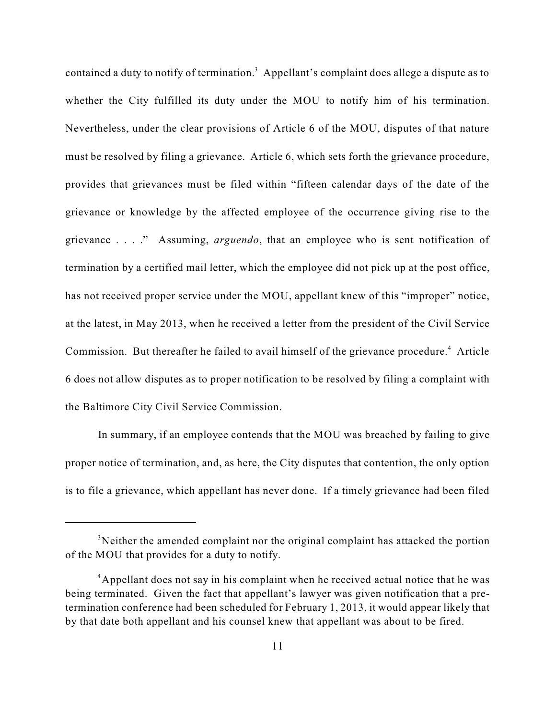contained a duty to notify of termination.<sup>3</sup> Appellant's complaint does allege a dispute as to whether the City fulfilled its duty under the MOU to notify him of his termination. Nevertheless, under the clear provisions of Article 6 of the MOU, disputes of that nature must be resolved by filing a grievance. Article 6, which sets forth the grievance procedure, provides that grievances must be filed within "fifteen calendar days of the date of the grievance or knowledge by the affected employee of the occurrence giving rise to the grievance . . . ." Assuming, *arguendo*, that an employee who is sent notification of termination by a certified mail letter, which the employee did not pick up at the post office, has not received proper service under the MOU, appellant knew of this "improper" notice, at the latest, in May 2013, when he received a letter from the president of the Civil Service Commission. But thereafter he failed to avail himself of the grievance procedure.<sup>4</sup> Article 6 does not allow disputes as to proper notification to be resolved by filing a complaint with the Baltimore City Civil Service Commission.

In summary, if an employee contends that the MOU was breached by failing to give proper notice of termination, and, as here, the City disputes that contention, the only option is to file a grievance, which appellant has never done. If a timely grievance had been filed

 $3$ Neither the amended complaint nor the original complaint has attacked the portion of the MOU that provides for a duty to notify.

<sup>&</sup>lt;sup>4</sup>Appellant does not say in his complaint when he received actual notice that he was being terminated. Given the fact that appellant's lawyer was given notification that a pretermination conference had been scheduled for February 1, 2013, it would appear likely that by that date both appellant and his counsel knew that appellant was about to be fired.